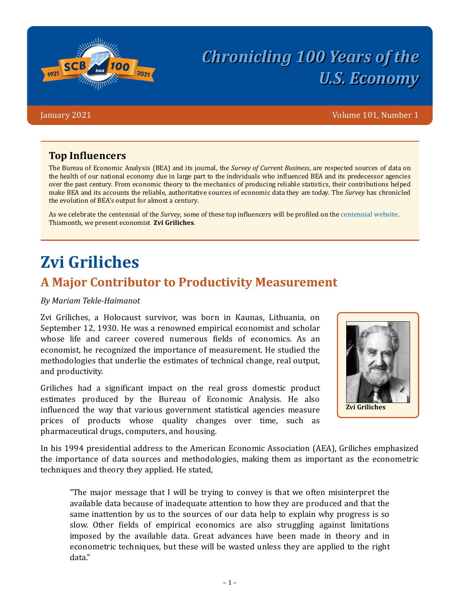

# **Chronicling 100 Years of the** *U.S. Economy*

January 2021 Volume 101, Number 1

#### **Top Influencers**

The Bureau of Economic Analysis (BEA) and its journal, the *Survey of Current Business*, are respected sources of data on the health of our national economy due in large part to the individuals who influenced BEA and its predecessor agencies over the past century. From economic theory to the mechanics of producing reliable statistics, their contributions helped make BEA and its accounts the reliable, authoritative sources of economic data they are today. The *Survey* has chronicled the evolution of BEA's output for almost a century.

As we celebrate the centennial of the *Survey*, some of these top influencers will be profiled on the [centennial website](https://apps.bea.gov/scb/centennial/index.htm). This month, we present economist **Zvi Griliches**.

## **Zvi Griliches**

### **A Major Contributor to Productivity Measurement**

#### *By Mariam Tekle-Haimanot*

Zvi Griliches, a Holocaust survivor, was born in Kaunas, Lithuania, on September 12, 1930. He was a renowned empirical economist and scholar whose life and career covered numerous fields of economics. As an economist, he recognized the importance of measurement. He studied the methodologies that underlie the estimates of technical change, real output, and productivity.

Griliches had a significant impact on the real gross domestic product estimates produced by the Bureau of Economic Analysis. He also influenced the way that various government statistical agencies measure prices of products whose quality changes over time, such as pharmaceutical drugs, computers, and housing.



In his 1994 presidential address to the American Economic Association (AEA), Griliches emphasized the importance of data sources and methodologies, making them as important as the econometric techniques and theory they applied. He stated,

"The major message that I will be trying to convey is that we often misinterpret the available data because of inadequate attention to how they are produced and that the same inattention by us to the sources of our data help to explain why progress is so slow. Other fields of empirical economics are also struggling against limitations imposed by the available data. Great advances have been made in theory and in econometric techniques, but these will be wasted unless they are applied to the right data."